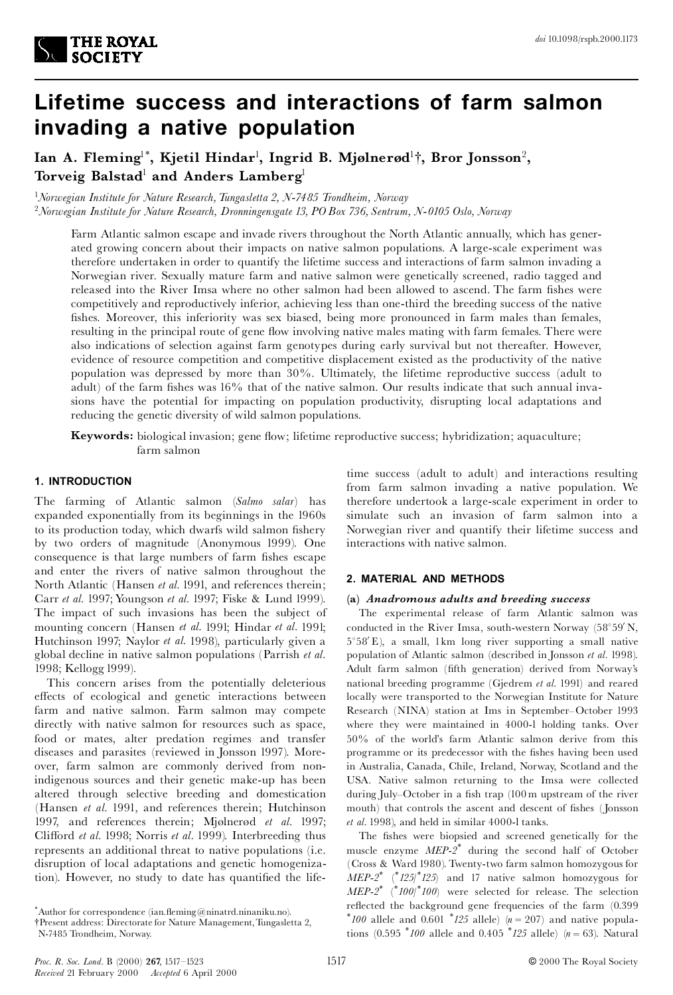

# **Lifetime success and interactions of farm salmon invading a native population**

Ian A. Fleming<sup>1\*</sup>, Kjetil Hindar<sup>1</sup>, Ingrid B. Mjølnerød<sup>1</sup>†, Bror Jonsson<sup>2</sup>, **Torveig Balstad**<sup>1</sup> **and Anders Lamberg**<sup>1</sup>

<sup>1</sup>*Norwegian Institute for Nature Research,Tungasletta 2, N-7485 Trondheim, Norway* <sup>2</sup>*Norwegian Institute for Nature Research, Dronningensgate 13, POBox 736, Sentrum, N- 0105 Oslo, Norway*

Farm Atlantic salmon escape and invade rivers throughout the North Atlantic annually, which has generated growing concern about their impacts on native salmon populations. A large-scale experiment was therefore undertaken in order to quantify the lifetime success and interactions of farm salmon invading a Norwegian river. Sexually mature farm and native salmon were genetically screened, radio tagged and released into the River Imsa where no other salmon had been allowed to ascend. The farm fishes were competitively and reproductively inferior, achieving less than one-third the breeding success of the native fishes. Moreover, this inferiority was sex biased, being more pronounced in farm males than females, resulting in the principal route of gene flow involving native males mating with farm females. There were also indications of selection against farm genotypes during early survival but not thereafter. However, evidence of resource competition and competitive displacement existed as the productivity of the native population was depressed by more than 30%. Ultimately, the lifetime reproductive success (adult to adult) of the farm fishes was  $16\%$  that of the native salmon. Our results indicate that such annual invasions have the potential for impacting on population productivity, disrupting local adaptations and reducing the genetic diversity of wild salmon populations.

**Keywords:** biological invasion; gene flow; lifetime reproductive success; hybridization; aquaculture; farm salmon

## **1. INTRODUCTION**

The farming of Atlantic salmon (*Salmo salar*) has expanded exponentially from its beginnings in the 1960s to its production today, which dwarfs wild salmon fishery by two orders of magnitude (Anonymous 1999). One consequence is that large numbers of farm fishes escape and enter the rivers of native salmon throughout the North Atlantic (Hansen *et al.* 1991, and references therein; Carr *et al.* 1997; Youngson *et al.* 1997; Fiske & Lund 1999). The impact of such invasions has been the subject of mounting concern (Hansen *et al.* 1991; Hindar *et al.* 1991; Hutchinson 1997; Naylor *et al.* 1998), particularly given a global decline in native salmon populations (Parrish *et al.* 1998; Kellogg 1999).

This concern arises from the potentially deleterious effects of ecological and genetic interactions between farm and native salmon. Farm salmon may compete directly with native salmon for resources such as space, food or mates, alter predation regimes and transfer diseases and parasites (reviewed in Jonsson 1997). Moreover, farm salmon are commonly derived from nonindigenous sources and their genetic make-up has been altered through selective breeding and domestication (Hansen *et al.* 1991, and references therein; Hutchinson 1997, and references therein; Mjølnerød et al. 1997; Clifford *et al.* 1998; Norris *et al.* 1999). Interbreeding thus represents an additional threat to native populations (i.e. disruption of local adaptations and genetic homogenization). However, no study to date has quantified the life-

\*Author for correspondence  $(ian,ffeming@ninatrd.inianiku.no)$ . {Present address: Directorate for Nature Management,Tungasletta 2, time success (adult to adult) and interactions resulting from farm salmon invading a native population. We therefore undertook a large-scale experiment in order to simulate such an invasion of farm salmon into a Norwegian river and quantify their lifetime success and interactions with native salmon.

## **2. MATERIAL AND METHODS**

### **(a)** *Anadromous adults and breeding success*

The experimental release of farm Atlantic salmon was conducted in the River Imsa, south-western Norway  $(58°59' N,$  $5^{\circ}58'$  E), a small, 1km long river supporting a small native population of Atlantic salmon (described in Jonsson *et al.* 1998). Adult farm salmon (fifth generation) derived from Norway's national breeding programme (Gjedrem *et al.* 1991) and reared locally were transported to the Norwegian Institute for Nature Research (NINA) station at Ims in September^October 1993 where they were maintained in 4000-l holding tanks. Over 50% of the world's farm Atlantic salmon derive from this programme or its predecessor with the fishes having been used in Australia, Canada, Chile, Ireland, Norway, Scotland and the USA. Native salmon returning to the Imsa were collected during July-October in a fish trap (100 m upstream of the river mouth) that controls the ascent and descent of fishes (Jonsson *et al.* 1998), and held in similar 4000-l tanks.

The fishes were biopsied and screened genetically for the muscle enzyme *MEP-2 \** during the second half of October (Cross & Ward 1980). Twenty-two farm salmon homozygous for *MEP-2 \** (\**125*/\**125*) and 17 native salmon homozygous for *MEP-2 \** (\**100*/\**100*) were selected for release. The selection reflected the background gene frequencies of the farm (0.399  $*100$  allele and 0.601  $*125$  allele) (*n* = 207) and native populations  $(0.595 \times 100)$  allele and  $0.405 \times 125$  allele)  $(n = 63)$ . Natural

N-7485 Trondheim, Norway.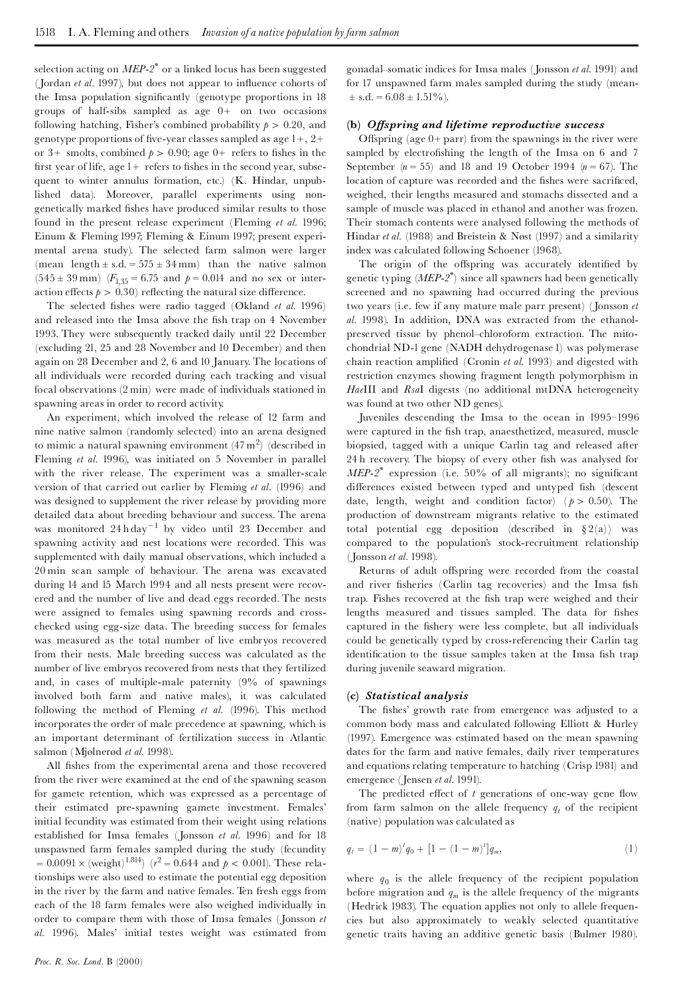selection acting on *MEP-2 \** or a linked locus has been suggested (Jordan *et al.* 1997), but does not appear to influence cohorts of the Imsa population significantly (genotype proportions in 18 groups of half-sibs sampled as age 0+ on two occasions following hatching, Fisher's combined probability  $p > 0.20$ , and genotype proportions of five-year classes sampled as age  $1+, 2+$ or 3+ smolts, combined  $p > 0.90$ ; age 0+ refers to fishes in the first year of life, age  $1+$  refers to fishes in the second year, subsequent to winter annulus formation, etc.) (K. Hindar, unpublished data). Moreover, parallel experiments using non genetically marked fishes have produced similar results to those found in the present release experiment (Fleming *et al.* 1996; Einum & Fleming 1997; Fleming & Einum 1997; present experimental arena study). The selected farm salmon were larger (mean length  $\pm$  s.d. = 575  $\pm$  34 mm) than the native salmon  $(545 \pm 39 \text{ mm})$   $(F_{135} = 6.75 \text{ and } p = 0.014 \text{ and no sex or inter-}$ action effects  $p > 0.30$  reflecting the natural size difference.

The selected fishes were radio tagged (Økland et al. 1996) and released into the Imsa above the fish trap on 4 November 1993. They were subsequently tracked daily until 22 December (excluding 21, 25 and 28 November and 10 December) and then again on 28 December and 2, 6 and 10 January. The locations of all individuals were recorded during each tracking and visual focal observations (2 min) were made of individuals stationed in spawning areas in order to record activity.

An experiment, which involved the release of 12 farm and nine native salmon (randomly selected) into an arena designed to mimic a natural spawning environment  $(47 \text{ m}^2)$  (described in Fleming *et al.* 1996), was initiated on 5 November in parallel with the river release. The experiment was a smaller-scale version of that carried out earlier by Fleming *et al.* (1996) and was designed to supplement the river release by providing more detailed data about breeding behaviour and success. The arena was monitored  $24h \text{ day}^{-1}$  by video until 23 December and spawning activity and nest locations were recorded. This was supplemented with daily manual observations, which included a 20 min scan sample of behaviour. The arena was excavated during 14 and 15 March 1994 and all nests present were recov ered and the number of live and dead eggs recorded. The nests were assigned to females using spawning records and cross checked using egg-size data. The breeding success for females was measured as the total number of live embryos recovered from their nests. Male breeding success was calculated as the number of live embryos recovered from nests that they fertilized and, in cases of multiple-male paternity (9% of spawnings involved both farm and native males), it was calculated following the method of Fleming *et al.* (1996). This method incorporates the order of male precedence at spawning, which is an important determinant of fertilization success in Atlantic salmon (Mjølnerød et al. 1998).

All fishes from the experimental arena and those recovered from the river were examined at the end of the spawning season for gamete retention, which was expressed as a percentage of their estimated pre-spawning gamete investment. Females' initial fecundity was estimated from their weight using relations established for Imsa females (Jonsson *et al.* 1996) and for 18 unspawned farm females sampled during the study (fecundity  $= 0.0091 \times \text{(weight)}^{1.814}$  ( $r^2 = 0.644$  and  $p < 0.001$ ). These relationships were also used to estimate the potential egg deposition in the river by the farm and native females. Ten fresh eggs from each of the 18 farm females were also weighed individually in order to compare them with those of Imsa females (Jonsson *et al.* 1996). Males' initial testes weight was estimated from gonadal–somatic indices for Imsa males (Jonsson *et al.* 1991) and for 17 unspawned farm males sampled during the study (mean-  $\pm$  s.d. = 6.08  $\pm$  1.51%).

#### **(b)** *O¡spring and lifetime reproductive success*

Offspring (age  $0+$  parr) from the spawnings in the river were sampled by electrofishing the length of the Imsa on 6 and 7 September  $(n = 55)$  and 18 and 19 October 1994  $(n = 67)$ . The location of capture was recorded and the fishes were sacrificed, weighed, their lengths measured and stomachs dissected and a sample of muscle was placed in ethanol and another was frozen. Their stomach contents were analysed following the methods of Hindar *et al.* (1988) and Breistein & Nøst (1997) and a similarity index was calculated following Schoener (1968).

The origin of the offspring was accurately identified by genetic typing (*MEP-2 \** ) since all spawners had been genetically screened and no spawning had occurred during the previous two years (i.e. few if any mature male parr present) (Jonsson *et al.* 1998). In addition, DNA was extracted from the ethanolpreserved tissue by phenol-chloroform extraction. The mitochondrial ND-1 gene (NADH dehydrogenase 1) was polymerase chain reaction ampli¢ed (Cronin *et al.* 1993) and digested with restriction enzymes showing fragment length polymorphism in *Hae*III and *Rsa*I digests (no additional mtDNA heterogeneity was found at two other ND genes).

Juveniles descending the Imsa to the ocean in 1995-1996 were captured in the fish trap, anaesthetized, measured, muscle biopsied, tagged with a unique Carlin tag and released after 24 h recovery. The biopsy of every other fish was analysed for *MEP-2*<sup>\*</sup> expression (i.e. 50% of all migrants); no significant differences existed between typed and untyped fish (descent date, length, weight and condition factor) ( $p > 0.50$ ). The production of downstream migrants relative to the estimated total potential egg deposition (described in  $\S 2(a)$ ) was compared to the population's stock-recruitment relationship (Jonsson *etal.* 1998).

Returns of adult offspring were recorded from the coastal and river fisheries (Carlin tag recoveries) and the Imsa fish trap. Fishes recovered at the fish trap were weighed and their lengths measured and tissues sampled. The data for fishes captured in the fishery were less complete, but all individuals could be genetically typed by cross-referencing their Carlin tag identification to the tissue samples taken at the Imsa fish trap during juvenile seaward migration.

#### **(c)** *Statistical analysis*

The fishes' growth rate from emergence was adjusted to a common body mass and calculated following Elliott & Hurley (1997). Emergence was estimated based on the mean spawning dates for the farm and native females, daily river temperatures and equations relating temperature to hatching (Crisp 1981) and emergence (Jensen *et al.* 1991).

The predicted effect of  $t$  generations of one-way gene flow from farm salmon on the allele frequency  $q_t$  of the recipient (native) population was calculated as

$$
q_t = (1 - m)^t q_0 + [1 - (1 - m)^t] q_m,
$$
\n(1)

where  $q_0$  is the allele frequency of the recipient population before migration and  $q_m$  is the allele frequency of the migrants (Hedrick 1983). The equation applies not only to allele frequencies but also approximately to weakly selected quantitative genetic traits having an additive genetic basis (Bulmer 1980).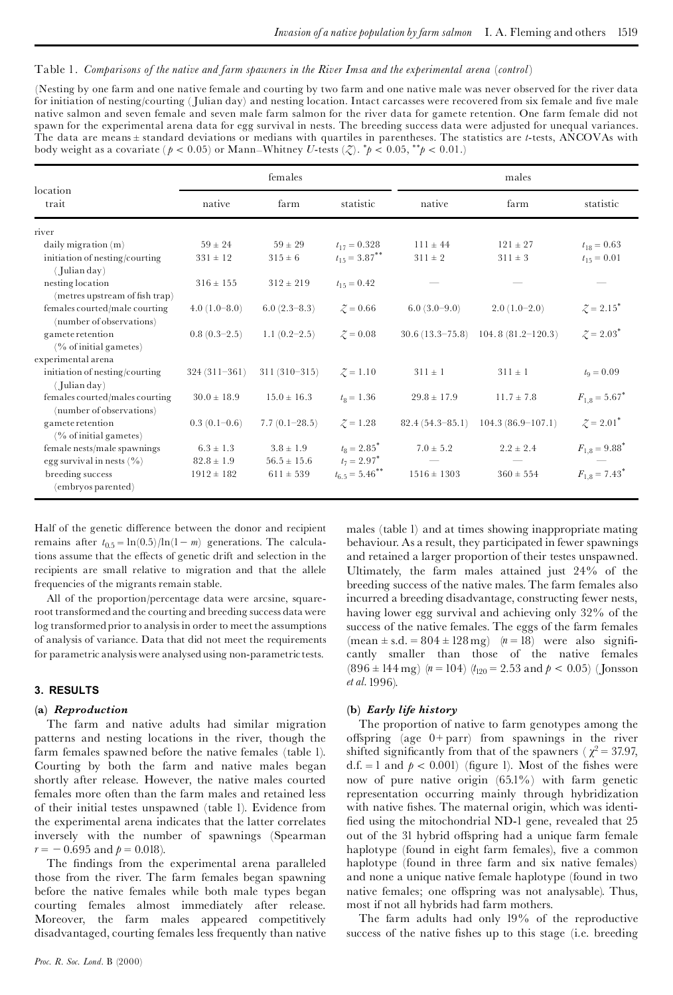## Table 1. *Comparisons of the native and farm spawners in the River Imsa and the experimental arena* (*control*)

(Nesting by one farm and one native female and courting by two farm and one native male was never observed for the river data for initiation of nesting/courting (Julian day) and nesting location. Intact carcasses were recovered from six female and five male native salmon and seven female and seven male farm salmon for the river data for gamete retention. One farm female did not spawn for the experimental arena data for egg survival in nests. The breeding success data were adjusted for unequal variances. The data are means ± standard deviations or medians with quartiles in parentheses. The statistics are *t*-tests, ANCOVAs with body weight as a covariate ( $p < 0.05$ ) or Mann–Whitney *U*-tests (*Z*).  $*p < 0.05$ ,  $*^*p < 0.01$ .)

| location<br>trait                                          | females         |                 |                                | males             |                     |                               |
|------------------------------------------------------------|-----------------|-----------------|--------------------------------|-------------------|---------------------|-------------------------------|
|                                                            | native          | farm            | statistic                      | native            | farm                | statistic                     |
| river                                                      |                 |                 |                                |                   |                     |                               |
| daily migration (m)                                        | $59 \pm 24$     | $59 \pm 29$     | $t_{17} = 0.328$               | $111 \pm 44$      | $121 \pm 27$        | $t_{18} = 0.63$               |
| initiation of nesting/courting                             | $331 \pm 12$    | $315 \pm 6$     | $t_{15} = 3.87$ **             | $311 \pm 2$       | $311 \pm 3$         | $t_{15} = 0.01$               |
| $($ Julian day)                                            |                 |                 |                                |                   |                     |                               |
| nesting location<br>(metres upstream of fish trap)         | $316 \pm 155$   | $312 \pm 219$   | $t_{15} = 0.42$                |                   |                     |                               |
| females courted/male courting<br>(number of observations)  | $4.0(1.0-8.0)$  | $6.0(2.3-8.3)$  | $\zeta = 0.66$                 | $6.0(3.0-9.0)$    | $2.0(1.0-2.0)$      | $\zeta = 2.15$ <sup>*</sup>   |
| gamete retention                                           | $0.8(0.3-2.5)$  | $1.1(0.2-2.5)$  | $\mathcal{Z} = 0.08$           | $30.6(13.3-75.8)$ | $104.8(81.2-120.3)$ | $\mathcal{Z} = 2.03^*$        |
| $(\%$ of initial gametes)                                  |                 |                 |                                |                   |                     |                               |
| experimental arena                                         |                 |                 |                                |                   |                     |                               |
| initiation of nesting/courting<br>$($ Julian day)          | $324(311-361)$  | $311(310-315)$  | $\zeta = 1.10$                 | $311 \pm 1$       | $311 \pm 1$         | $t_0 = 0.09$                  |
| females courted/males courting<br>(number of observations) | $30.0 \pm 18.9$ | $15.0 \pm 16.3$ | $t_{\rm B} = 1.36$             | $29.8 \pm 17.9$   | $11.7 \pm 7.8$      | $F_{1,8} = 5.67$ <sup>*</sup> |
| gamete retention                                           | $0.3(0.1-0.6)$  | $7.7(0.1-28.5)$ | $\zeta = 1.28$                 | $82.4(54.3-85.1)$ | $104.3(86.9-107.1)$ | $\zeta = 2.01^*$              |
| $(\%$ of initial gametes)                                  |                 |                 |                                |                   |                     |                               |
| female nests/male spawnings                                | $6.3 \pm 1.3$   | $3.8 \pm 1.9$   | $t_8 = 2.85$ <sup>*</sup>      | $7.0 \pm 5.2$     | $2.2 \pm 2.4$       | $F_{1,8} = 9.88$ <sup>*</sup> |
| egg survival in nests $(\% )$                              | $82.8 \pm 1.9$  | $56.5 \pm 15.6$ | $t_7 = 2.97^*$                 |                   |                     |                               |
| breeding success<br>(embryos parented)                     | $1912 \pm 182$  | $611 \pm 539$   | $t_{6.5} = 5.46$ <sup>**</sup> | $1516 \pm 1303$   | $360 \pm 554$       | $F_{1.8} = 7.43$ <sup>*</sup> |

Half of the genetic difference between the donor and recipient remains after  $t_{0.5} = \ln(0.5)/\ln(1-m)$  generations. The calculations assume that the effects of genetic drift and selection in the recipients are small relative to migration and that the allele frequencies of the migrants remain stable.

All of the proportion/percentage data were arcsine, squareroot transformedand the courting and breeding success data were log transformed prior to analysis in order to meet the assumptions of analysis of variance. Data that did not meet the requirements for parametric analysiswere analysedusing non-parametrictests.

## **3. RESULTS**

#### **(a)** *Reproduction*

The farm and native adults had similar migration patterns and nesting locations in the river, though the farm females spawned before the native females (table 1). Courting by both the farm and native males began d.f. = 1 and  $p < 0.001$  (figure 1). Most of the fishes were shortly after release. However, the native males courted females more often than the farm males and retained less of their initial testes unspawned (table 1). Evidence from the experimental arena indicates that the latter correlates inversely with the number of spawnings (Spearman  $r = -0.695$  and  $p = 0.018$ ).<br>The findings from the experimental arena paralleled

those from the river. The farm females began spawning before the native females while both male types began courting females almost immediately after release. Moreover, the farm males appeared competitively disadvantaged, courting females less frequently than native

and retained a larger proportion of their testes unspawned. Ultimately, the farm males attained just 24% of the breeding success of the native males. The farm females also incurred a breeding disadvantage, constructing fewer nests, having lower egg survival and achieving only 32% of the success of the native females. The eggs of the farm females (mean  $\pm$  s.d. = 804  $\pm$  128 mg) (*n* = 18) were also significantly smaller than those of the native females  $(896 \pm 144 \text{ mg})$  (*n* = 104) (*t*<sub>120</sub> = 2.53 and *p* < 0.05) (Jonsson *et al.*1996). **(b)** *Early life history* The proportion of native to farm genotypes among the

males (table 1) and at times showing inappropriate mating behaviour. As a result, they participated in fewer spawnings

offspring (age  $0+$  parr) from spawnings in the river shifted significantly from that of the spawners ( $\chi^2 = 37.97$ , d.f. = 1 and  $p < 0.001$ ) (figure 1). Most of the fishes were now of pure native origin (65.1%) with farm genetic representation occurring mainly through hybridization with native fishes. The maternal origin, which was identified using the mitochondrial ND-1 gene, revealed that 25 out of the 31 hybrid offspring had a unique farm female haplotype (found in eight farm females), five a common haplotype (found in three farm and six native females) and none a unique native female haplotype (found in two native females; one offspring was not analysable). Thus, most if not all hybrids had farm mothers.

The farm adults had only 19% of the reproductive success of the native fishes up to this stage (i.e. breeding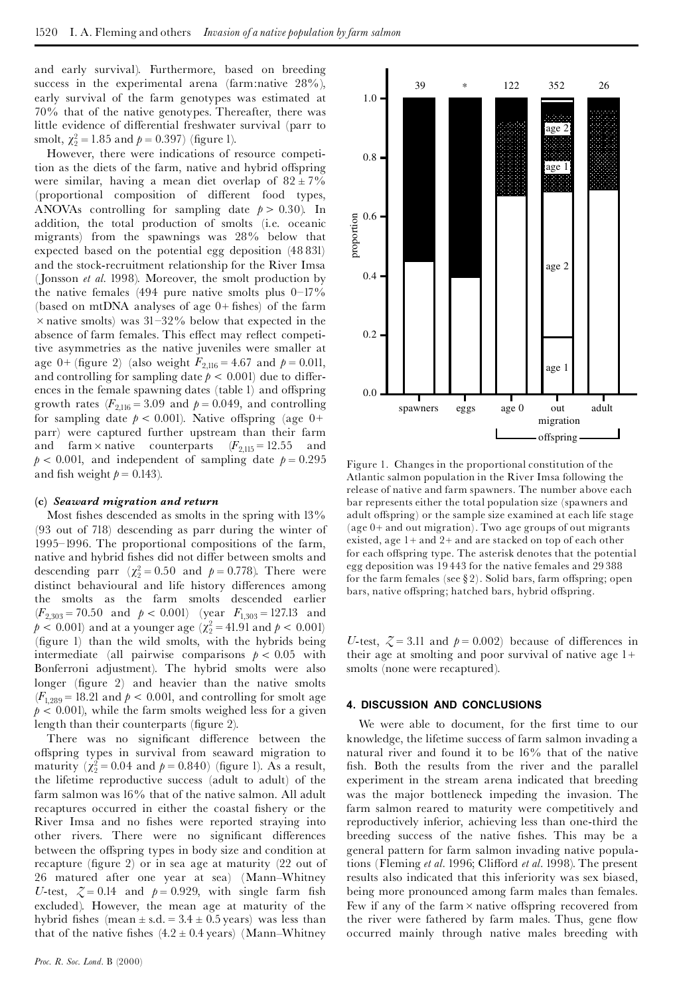and early survival). Furthermore, based on breeding success in the experimental arena (farm:native 28%), early survival of the farm genotypes was estimated at 70% that of the native genotypes. Thereafter, there was little evidence of differential freshwater survival (parr to smolt,  $\chi_2^2 = 1$ 

However, there were indications of resource competition as the diets of the farm, native and hybrid offspring were similar, having a mean diet overlap of  $82 \pm 7\%$ (proportional composition of different food types, ANOVAs controlling for sampling date  $p > 0.30$ ). In addition, the total production of smolts (i.e. oceanic migrants) from the spawnings was 28% below that expected based on the potential egg deposition (48 831) and the stock-recruitment relationship for the River Imsa (Jonsson *et al.* 1998). Moreover, the smolt production by the native females (494 pure native smolts plus  $0-17\%$ (based on mtDNA analyses of age  $0+$  fishes) of the farm  $\times$  native smolts) was 31-32% below that expected in the absence of farm females. This effect may reflect competitive asymmetries as the native juveniles were smaller at age 0+ (figure 2) (also weight  $F_{2,116} = 4.67$  and  $p = 0.011$ , and controlling for sampling date  $p < 0.001$ ) due to differences in the female spawning dates (table 1) and offspring growth rates  $(F_{2,116} = 3.09$  and  $p = 0.049$ , and controlling for sampling date  $p < 0.001$ ). Native offspring (age 0+ parr) were captured further upstream than their farm and farm  $\times$  native counterparts  $(F_{2,115} = 12.55$  and  $p < 0.001$ , and independent of sampling date  $p = 0.295$ and fish weight  $p = 0.143$ ).

#### **(c)** *Seaward migration and return*

Most fishes descended as smolts in the spring with  $13\%$ (93 out of 718) descending as parr during the winter of 1995^1996. The proportional compositions of the farm, native and hybrid fishes did not differ between smolts and descending parr  $(\chi_2^2 = 0)$ distinct behavioural and life history differences among the smolts as the farm smolts descended earlier  $(F_{2,303} = 70.50$  and  $p < 0.001$ ) (year  $F_{1,303} = 127.13$  and  $p < 0.001$ ) and at a younger age ( $\chi^2 = 41.91$  and  $p < 0.001$ ) (figure 1) than the wild smolts, with the hybrids being intermediate (all pairwise comparisons  $p < 0.05$  with Bonferroni adjustment). The hybrid smolts were also longer (figure 2) and heavier than the native smolts  $(F_{1,289} = 18.21$  and  $p < 0.001$ , and controlling for smolt age  $p < 0.001$ ), while the farm smolts weighed less for a given length than their counterparts (figure 2).

There was no significant difference between the offspring types in survival from seaward migration to maturity  $(\chi_2^2 = 0.04$  and  $p = 0.840)$  (figure 1). As a result, the lifetime reproductive success (adult to adult) of the farm salmon was 16% that of the native salmon. All adult recaptures occurred in either the coastal fishery or the River Imsa and no fishes were reported straying into other rivers. There were no significant differences between the offspring types in body size and condition at recapture (figure 2) or in sea age at maturity  $(22 \text{ out of})$ 26 matured after one year at sea) (Mann^Whitney *U*-test,  $\zeta = 0.14$  and  $p = 0.929$ , with single farm fish excluded). However, the mean age at maturity of the hybrid fishes (mean  $\pm$  s.d. = 3.4  $\pm$  0.5 years) was less than that of the native fishes  $(4.2 \pm 0.4 \text{ years})$  (Mann-Whitney



Figure 1. Changes in the proportional constitution of the Atlantic salmon population in the River Imsa following the release of native and farm spawners. The number above each bar represents either the total population size (spawners and adult offspring) or the sample size examined at each life stage (age  $0+$  and out migration). Two age groups of out migrants existed, age 1+ and 2+ and are stacked on top of each other for each offspring type. The asterisk denotes that the potential egg deposition was 19 443 for the native females and 29 388 for the farm females (see  $\S 2$ ). Solid bars, farm offspring; open bars, native offspring; hatched bars, hybrid offspring.

*U*-test,  $\zeta = 3.11$  and  $p = 0.002$ ) because of differences in their age at smolting and poor survival of native age  $1+$ smolts (none were recaptured).

#### **4. DISCUSSION AND CONCLUSIONS**

We were able to document, for the first time to our knowledge, the lifetime success of farm salmon invading a natural river and found it to be 16% that of the native fish. Both the results from the river and the parallel experiment in the stream arena indicated that breeding was the major bottleneck impeding the invasion. The farm salmon reared to maturity were competitively and reproductively inferior, achieving less than one-third the breeding success of the native fishes. This may be a general pattern for farm salmon invading native populations (Fleming *et al.* 1996; Clifford *et al.* 1998). The present results also indicated that this inferiority was sex biased, being more pronounced among farm males than females. Few if any of the farm  $\times$  native offspring recovered from the river were fathered by farm males. Thus, gene flow occurred mainly through native males breeding with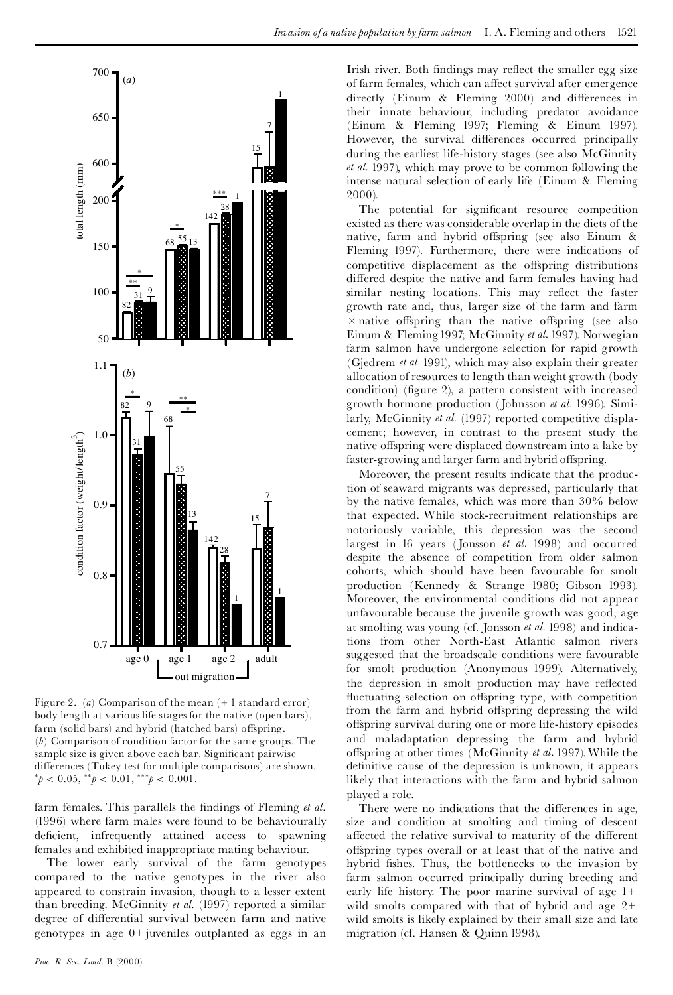

Figure 2. (*a*) Comparison of the mean (+ 1 standard error) body length at various life stages for the native (open bars), farm (solid bars) and hybrid (hatched bars) offspring. (*b*) Comparison of condition factor for the same groups. The sample size is given above each bar. Significant pairwise differences (Tukey test for multiple comparisons) are shown.  $^*p < 0.05, ^{**}p < 0.01, ^{***}p < 0.001.$ 

farm females. This parallels the findings of Fleming *et al.* (1996) where farm males were found to be behaviourally deficient, infrequently attained access to spawning females and exhibited inappropriate mating behaviour.

The lower early survival of the farm genotypes compared to the native genotypes in the river also appeared to constrain invasion, though to a lesser extent than breeding. McGinnity *et al.* (1997) reported a similar degree of differential survival between farm and native genotypes in age 0+ juveniles outplanted as eggs in an Irish river. Both findings may reflect the smaller egg size of farm females, which can affect survival after emergence directly (Einum  $&$  Fleming 2000) and differences in their innate behaviour, including predator avoidance (Einum & Fleming 1997; Fleming & Einum 1997). However, the survival differences occurred principally during the earliest life-history stages (see also McGinnity *et al.* 1997), which may prove to be common following the intense natural selection of early life (Einum & Fleming 2000).

The potential for significant resource competition existed as there was considerable overlap in the diets of the native, farm and hybrid offspring (see also Einum & Fleming 1997). Furthermore, there were indications of competitive displacement as the offspring distributions differed despite the native and farm females having had similar nesting locations. This may reflect the faster growth rate and, thus, larger size of the farm and farm  $\times$  native offspring than the native offspring (see also Einum & Fleming1997; McGinnity *et al.* 1997). Norwegian farm salmon have undergone selection for rapid growth (Gjedrem *et al.* 1991), which may also explain their greater allocation of resources to length than weight growth (body condition) (figure 2), a pattern consistent with increased growth hormone production (Johnsson *et al.* 1996). Similarly, McGinnity *et al.* (1997) reported competitive displacement; however, in contrast to the present study the native offspring were displaced downstream into a lake by faster-growing and larger farm and hybrid offspring.

Moreover, the present results indicate that the production of seaward migrants was depressed, particularly that by the native females, which was more than 30% below that expected. While stock-recruitment relationships are notoriously variable, this depression was the second largest in 16 years (Jonsson *et al.* 1998) and occurred despite the absence of competition from older salmon cohorts, which should have been favourable for smolt production (Kennedy & Strange 1980; Gibson 1993). Moreover, the environmental conditions did not appear unfavourable because the juvenile growth was good, age at smolting was young (cf. Jonsson *etal.* 1998) and indications from other North-East Atlantic salmon rivers suggested that the broadscale conditions were favourable for smolt production (Anonymous 1999). Alternatively, the depression in smolt production may have reflected fluctuating selection on offspring type, with competition from the farm and hybrid offspring depressing the wild offspring survival during one or more life-history episodes and maladaptation depressing the farm and hybrid offspring at other times (McGinnity *et al.* 1997). While the definitive cause of the depression is unknown, it appears likely that interactions with the farm and hybrid salmon played a role.

There were no indications that the differences in age, size and condition at smolting and timing of descent affected the relative survival to maturity of the different offspring types overall or at least that of the native and hybrid fishes. Thus, the bottlenecks to the invasion by farm salmon occurred principally during breeding and early life history. The poor marine survival of age 1+ wild smolts compared with that of hybrid and age 2+ wild smolts is likely explained by their small size and late migration (cf. Hansen & Quinn 1998).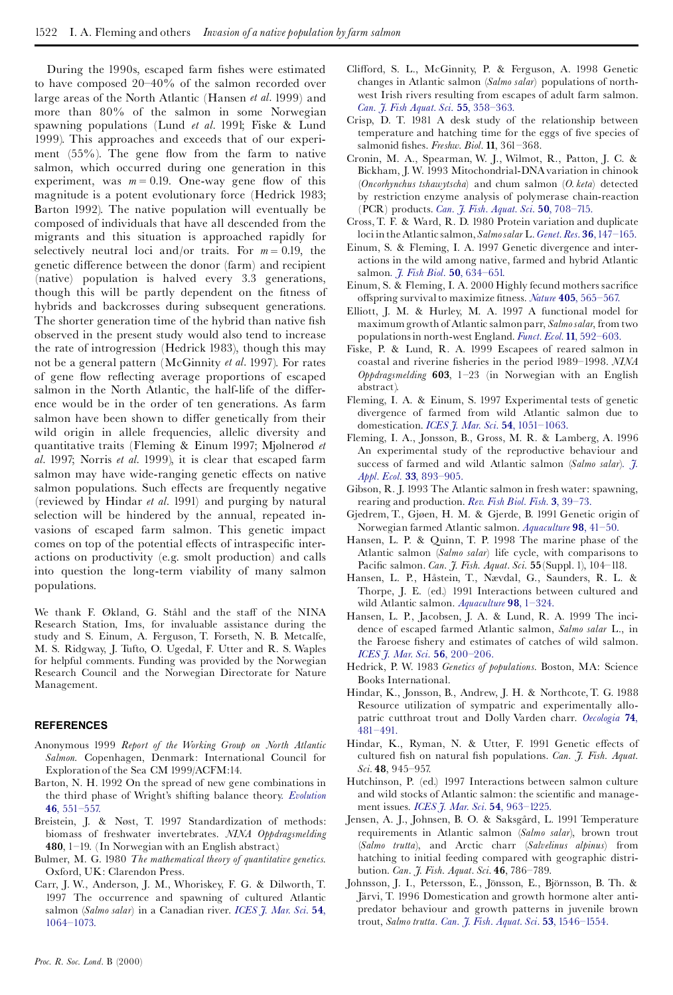During the 1990s, escaped farm fishes were estimated to have composed 20-40% of the salmon recorded over large areas of the North Atlantic (Hansen *et al.* 1999) and more than 80% of the salmon in some Norwegian spawning populations (Lund *et al.* 1991; Fiske & Lund 1999). This approaches and exceeds that of our experiment  $(55%)$ . The gene flow from the farm to native salmon, which occurred during one generation in this experiment, was  $m = 0.19$ . One-way gene flow of this magnitude is a potent evolutionary force (Hedrick 1983; Barton 1992). The native population will eventually be composed of individuals that have all descended from the migrants and this situation is approached rapidly for selectively neutral loci and/or traits. For  $m = 0.19$ , the genetic difference between the donor (farm) and recipient (native) population is halved every 3.3 generations, though this will be partly dependent on the fitness of hybrids and backcrosses during subsequent generations. The shorter generation time of the hybrid than native fish observed in the present study would also tend to increase the rate of introgression (Hedrick 1983), though this may not be a general pattern (McGinnity *et al.* 1997). For rates of gene flow reflecting average proportions of escaped salmon in the North Atlantic, the half-life of the difference would be in the order of ten generations. As farm salmon have been shown to differ genetically from their wild origin in allele frequencies, allelic diversity and quantitative traits (Fleming & Einum 1997; Mjølnerød *et al.* 1997; Norris *et al.* 1999), it is clear that escaped farm salmon may have wide-ranging genetic effects on native salmon populations. Such effects are frequently negative (reviewed by Hindar *et al.* 1991) and purging by natural selection will be hindered by the annual, repeated invasions of escaped farm salmon. This genetic impact comes on top of the potential effects of intraspecific interactions on productivity (e.g. smolt production) and calls into question the long-term viability of many salmon populations.

We thank F. Økland, G. Ståhl and the staff of the NINA Research Station, Ims, for invaluable assistance during the study and S. Einum, A. Ferguson, T. Forseth, N. B. Metcalfe, M. S. Ridgway, J. Tufto, O. Ugedal, F. Utter and R. S. Waples for helpful comments. Funding was provided by the Norwegian Research Council and the Norwegian Directorate for Nature Management.

## **REFERENCES**

- Anonymous 1999 *Report of the Working Group on North Atlantic Salmon*. Copenhagen, Denmark: International Council for Exploration of the Sea CM 1999/ACFM:14.
- Barton, N. H. 1992 On the spread of new gene combinations in the third phase of Wright's shifting balance theory. *[Evolution](http://gessler.ingentaselect.com/nw=1/rpsv/cgi-bin/linker?ext=a&reqidx=/0014-3820^28^2946L.551[aid=528570,csa=0014-3820^26vol=46^26iss=2^26firstpage=551])* **46**, [551^557.](http://gessler.ingentaselect.com/nw=1/rpsv/cgi-bin/linker?ext=a&reqidx=/0014-3820^28^2946L.551[aid=528570,csa=0014-3820^26vol=46^26iss=2^26firstpage=551])
- Breistein, J. & Nøst, T. 1997 Standardization of methods: biomass of freshwater invertebrates. *NINA Oppdragsmelding* **480**, 1-19. (In Norwegian with an English abstract.)
- Bulmer, M. G. 1980 *The mathematical theory of quantitative genetics*. Oxford, UK: Clarendon Press.
- Carr, J. W., Anderson, J. M., Whoriskey, F. G. & Dilworth, T. 1997 The occurrence and spawning of cultured Atlantic salmon (*Salmo salar*) in a Canadian river. *[ICES](http://gessler.ingentaselect.com/nw=1/rpsv/cgi-bin/linker?ext=a&reqidx=/1054-3139^28^2954L.1064[aid=528571,csa=1054-3139^26vol=54^26iss=6^26firstpage=1064,doi=10.1006/jmsc.1997.0289]) J. Mar. Sci.* **54**, [1064^1073.](http://gessler.ingentaselect.com/nw=1/rpsv/cgi-bin/linker?ext=a&reqidx=/1054-3139^28^2954L.1064[aid=528571,csa=1054-3139^26vol=54^26iss=6^26firstpage=1064,doi=10.1006/jmsc.1997.0289])
- Clifford, S. L., McGinnity, P. & Ferguson, A. 1998 Genetic changes in Atlantic salmon (*Salmo salar*) populations of northwest Irish rivers resulting from escapes of adult farm salmon. *Can. J. Fish Aquat. Sci*. **55**, [358^363.](http://gessler.ingentaselect.com/nw=1/rpsv/cgi-bin/linker?ext=a&reqidx=/0706-652X^28^2955L.358[aid=528587,doi=10.1139/cjfas-55-2-358])
- Crisp, D. T. 1981 A desk study of the relationship between temperature and hatching time for the eggs of five species of salmonid ¢shes. *Freshw. Biol.* **11**, 361^368.
- Cronin, M. A., Spearman, W. J., Wilmot, R., Patton, J. C. & Bickham, J. W. 1993 Mitochondrial-DNAvariation in chinook (*Oncorhynchus tshawytscha*) and chum salmon (*O. keta*) detected by restriction enzyme analysis of polymerase chain-reaction (PCR) products. *Can. J. Fish. Aquat. Sci.* **50**, [708^715.](http://gessler.ingentaselect.com/nw=1/rpsv/cgi-bin/linker?ext=a&reqidx=/0706-652X^28^2950L.708[aid=528573])
- Cross, T. F. & Ward, R. D. 1980 Protein variation and duplicate loci in the Atlantic salmon, *Salmosalar* L. *[Genet.Res.](http://gessler.ingentaselect.com/nw=1/rpsv/cgi-bin/linker?ext=a&reqidx=/0016-6723^28^2936L.147[aid=528574,nlm=7461451])* **36**,147^165.
- Einum, S. & Fleming, I. A. 1997 Genetic divergence and interactions in the wild among native, farmed and hybrid Atlantic salmon. *J. Fish Biol.* **50**, [634^651.](http://gessler.ingentaselect.com/nw=1/rpsv/cgi-bin/linker?ext=a&reqidx=/0022-1112^28^2950L.634[aid=528575,csa=0022-1112^26vol=50^26iss=3^26firstpage=634,doi=10.1006/jmsc.1997.0290])
- Einum, S. & Fleming, I. A. 2000 Highly fecund mothers sacrifice offspring survival to maximize fitness. *Nature* 405, 565-567.
- Elliott, J. M. & Hurley, M. A. 1997 A functional model for maximum growth of Atlantic salmon parr, *Salmosalar*, from two populationsin north-west England. *Funct. Ecol.* **11**, [592^603.](http://gessler.ingentaselect.com/nw=1/rpsv/cgi-bin/linker?ext=a&reqidx=/0269-8463^28^2911L.592[aid=528577,csa=0269-8463^26vol=11^26iss=5^26firstpage=592])
- Fiske, P. & Lund, R. A. 1999 Escapees of reared salmon in coastal and riverine fisheries in the period 1989-1998. *NINA Oppdragsmelding* **603**, 1^23 (in Norwegian with an English abstract).
- Fleming, I. A. & Einum, S. 1997 Experimental tests of genetic divergence of farmed from wild Atlantic salmon due to domestication. *ICES J. Mar. Sci.* **54**, [1051^1063.](http://gessler.ingentaselect.com/nw=1/rpsv/cgi-bin/linker?ext=a&reqidx=/1054-3139^28^2954L.1051[aid=528578,csa=1054-3139^26vol=54^26iss=6^26firstpage=1051,doi=10.1006/jmsc.1998.0437])
- Fleming, I. A., Jonsson, B., Gross, M. R. & Lamberg, A. 1996 An experimental study of the reproductive behaviour and success of farmed and wild Atlantic salmon (*Salmo salar*). *[J.](http://gessler.ingentaselect.com/nw=1/rpsv/cgi-bin/linker?ext=a&reqidx=/0021-8901^28^2933L.893[aid=528579,csa=0021-8901^26vol=33^26iss=4^26firstpage=893]) Appl. Ecol.* **33**, [893^905.](http://gessler.ingentaselect.com/nw=1/rpsv/cgi-bin/linker?ext=a&reqidx=/0021-8901^28^2933L.893[aid=528579,csa=0021-8901^26vol=33^26iss=4^26firstpage=893])
- Gibson, R. J. 1993 The Atlantic salmon in fresh water: spawning, rearing and production. *Rev. Fish Biol. Fish.* **3**, [39^73.](http://gessler.ingentaselect.com/nw=1/rpsv/cgi-bin/linker?ext=a&reqidx=/0960-3166^28^293L.39[aid=528580,csa=0960-3166^26vol=3^26iss=1^26firstpage=39])
- Gjedrem, T., Gjøen, H. M. & Gjerde, B. 1991 Genetic origin of Norwegian farmed Atlantic salmon. *[Aquaculture](http://gessler.ingentaselect.com/nw=1/rpsv/cgi-bin/linker?ext=a&reqidx=/0044-8486^28^2998L.41[aid=528581])* **98**, 41^50.
- Hansen, L. P. & Quinn, T. P. 1998 The marine phase of the Atlantic salmon (*Salmo salar*) life cycle, with comparisons to Paci¢c salmon. *Can. J. Fish. Aquat. Sci.* **55**(Suppl. 1), 104^118.
- Hansen, L. P., Håstein, T., Nævdal, G., Saunders, R. L. & Thorpe, J. E. (ed.) 1991 Interactions between cultured and wild Atlantic salmon. *[Aquaculture](http://gessler.ingentaselect.com/nw=1/rpsv/cgi-bin/linker?ext=a&reqidx=/0044-8486^28^2998L.1[aid=528582])* **98**, 1^324.
- Hansen, L. P., Jacobsen, J. A. & Lund, R. A. 1999 The incidence of escaped farmed Atlantic salmon, *Salmo salar* L., in the Faroese fishery and estimates of catches of wild salmon. *ICES J. Mar. Sci.* **56**, [200^206.](http://gessler.ingentaselect.com/nw=1/rpsv/cgi-bin/linker?ext=a&reqidx=/1054-3139^28^2956L.200[aid=528588,csa=1054-3139^26vol=56^26iss=2^26firstpage=200,doi=10.1046/j.1365-2656.1998.00237.x])
- Hedrick, P. W. 1983 *Genetics of populations*. Boston, MA: Science Books International.
- Hindar, K., Jonsson, B., Andrew, J. H. & Northcote,T. G. 1988 Resource utilization of sympatric and experimentally allopatric cutthroat trout and Dolly Varden charr. *[Oecologia](http://gessler.ingentaselect.com/nw=1/rpsv/cgi-bin/linker?ext=a&reqidx=/0029-8549^28^2974L.481[aid=528583,csa=0029-8549^26vol=74^26iss=4^26firstpage=481])* **74**, [481^491.](http://gessler.ingentaselect.com/nw=1/rpsv/cgi-bin/linker?ext=a&reqidx=/0029-8549^28^2974L.481[aid=528583,csa=0029-8549^26vol=74^26iss=4^26firstpage=481])
- Hindar, K., Ryman, N. & Utter, F. 1991 Genetic effects of cultured fish on natural fish populations. *Can. J. Fish. Aquat. Sci.* **48**, 945^957.
- Hutchinson, P. (ed.) 1997 Interactions between salmon culture and wild stocks of Atlantic salmon: the scientific and management issues. *ICESJ. Mar. Sci.* **54**, [963^1225.](http://gessler.ingentaselect.com/nw=1/rpsv/cgi-bin/linker?ext=a&reqidx=/1054-3139^28^2954L.963[aid=528585,csa=1054-3139^26vol=54^26iss=6^26firstpage=963,doi=10.1006/jmsc.1997.0302])
- Jensen, A. J., Johnsen, B. O. & Saksgård, L. 1991 Temperature requirements in Atlantic salmon (*Salmo salar*), brown trout (*Salmo trutta*), and Arctic charr (*Salvelinus alpinus*) from hatching to initial feeding compared with geographic distribution. *Can. J. Fish. Aquat. Sci.* **46**, 786^789.
- Johnsson, J. I., Petersson, E., Jönsson, E., Björnsson, B. Th. & Järvi, T. 1996 Domestication and growth hormone alter antipredator behaviour and growth patterns in juvenile brown trout, *Salmo trutta*. *Can. J. Fish. Aquat. Sci.* **53**, [1546^1554.](http://gessler.ingentaselect.com/nw=1/rpsv/cgi-bin/linker?ext=a&reqidx=/0706-652X^28^2953L.1546[aid=528586])